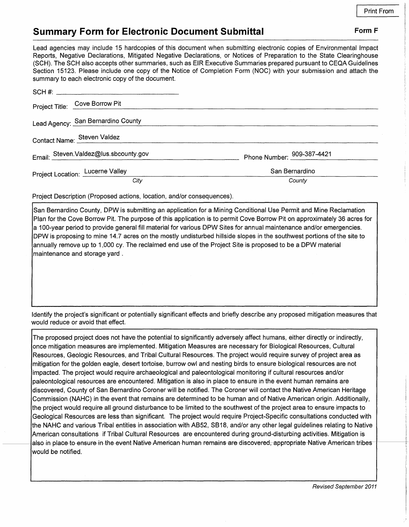## **Summary Form for Electronic Document Submittal Form F Form F**

Lead agencies may include 15 hardcopies of this document when submitting electronic copies of Environmental Impact Reports, Negative Declarations, Mitigated Negative Declarations, or Notices of Preparation to the State Clearinghouse (SCH). The SCH also accepts other summaries, such as EIR Executive Summaries prepared pursuant to CEQA Guidelines Section 15123. Please include one copy of the Notice of Completion Form (NOC) with your submission and attach the

| summary to each electronic copy of the document. |                            |
|--------------------------------------------------|----------------------------|
|                                                  |                            |
| Project Title: Cove Borrow Pit                   |                            |
| Lead Agency: San Bernardino County               |                            |
| Contact Name: Steven Valdez                      |                            |
| Email: Steven.Valdez@lus.sbcounty.gov            | Phone Number: 909-387-4421 |
| Project Location: Lucerne Valley                 | San Bernardino             |
| Citv                                             | County                     |

Project Description (Proposed actions, location, and/or consequences).

San Bernardino County, DPW is submitting an application for a Mining Conditional Use Permit and Mine Reclamation Plan for the Cove Borrow Pit. The purpose of this application is to permit Cove Borrow Pit on approximately 36 acres for a 100-year period to provide general fill material for various DPW Sites for annual maintenance and/or emergencies. DPW is proposing to mine 14.7 acres on the mostly undisturbed hillside slopes in the southwest portions of the site to annually remove up to 1,000 cy. The reclaimed end use of the Project Site is proposed to be a DPW material maintenance and storage yard .

Identify the project's significant or potentially significant effects and briefly describe any proposed mitigation measures that would reduce or avoid that effect.

The proposed project does not have the potential to significantly adversely affect humans, either directly or indirectly, once mitigation measures are implemented. Mitigation Measures are necessary for Biological Resources, Cultural Resources, Geologic Resources, and Tribal Cultural Resources. The project would require survey of project area as mitigation for the golden eagle, desert tortoise, burrow owl and nesting birds to ensure biological resources are not impacted. The project would require archaeological and paleontological monitoring if cultural resources and/or paleontological resources are encountered. Mitigation is also in place to ensure in the event human remains are discovered, County of San Bernardino Coroner will be notified. The Coroner will contact the Native American Heritage Commission (NAHC) in the event that remains are determined to be human and of Native American origin. Additionally, the project would require all ground disturbance to be limited to the southwest of the project area to ensure impacts to Geological Resources are less than significant. The project would require Project-Specific consultations conducted with the NAHC and various Tribal entities in association with AB52, SB18, and/or any other legal guidelines relating to Native American consultations if Tribal Cultural Resources are encountered during ground-disturbing activities. Mitigation is also-in-place-to-ensure in the event Native-American-human-remains-are-discovered, appropriate-Native-American-tribes would be notified.

Revised September 2011